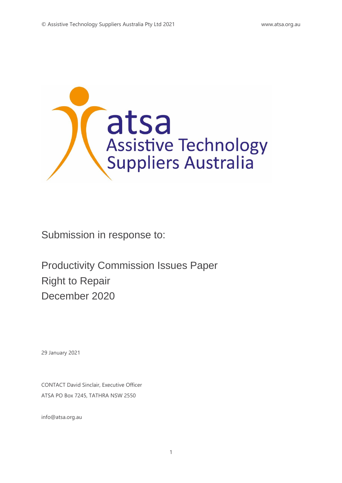

Submission in response to:

Productivity Commission Issues Paper Right to Repair December 2020

29 January 2021

CONTACT David Sinclair, Executive Officer ATSA PO Box 7245, TATHRA NSW 2550

info@atsa.org.au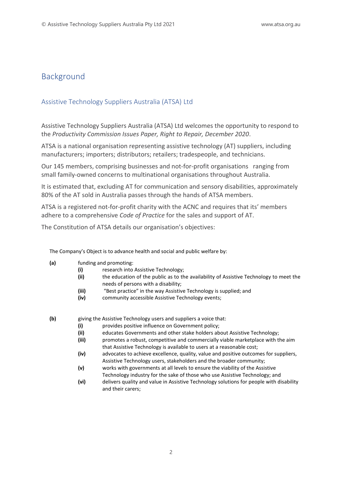# Background

# Assistive Technology Suppliers Australia (ATSA) Ltd

Assistive Technology Suppliers Australia (ATSA) Ltd welcomes the opportunity to respond to the *Productivity Commission Issues Paper, Right to Repair, December 2020*.

ATSA is a national organisation representing assistive technology (AT) suppliers, including manufacturers; importers; distributors; retailers; tradespeople, and technicians.

Our 145 members, comprising businesses and not-for-profit organisations ranging from small family-owned concerns to multinational organisations throughout Australia.

It is estimated that, excluding AT for communication and sensory disabilities, approximately 80% of the AT sold in Australia passes through the hands of ATSA members.

ATSA is a registered not-for-profit charity with the ACNC and requires that its' members adhere to a comprehensive *Code of Practice* for the sales and support of AT.

The Constitution of ATSA details our organisation's objectives:

The Company's Object is to advance health and social and public welfare by:

- **(a)** funding and promoting:
	- **(i)** research into Assistive Technology;
	- **(ii)** the education of the public as to the availability of Assistive Technology to meet the needs of persons with a disability;
	- **(iii)** "Best practice" in the way Assistive Technology is supplied; and
	- **(iv)** community accessible Assistive Technology events;
- 
- **(b)** giving the Assistive Technology users and suppliers a voice that:
	- **(i)** provides positive influence on Government policy;
	- **(ii)** educates Governments and other stake holders about Assistive Technology;
	- **(iii)** promotes a robust, competitive and commercially viable marketplace with the aim that Assistive Technology is available to users at a reasonable cost;
	- **(iv)** advocates to achieve excellence, quality, value and positive outcomes for suppliers, Assistive Technology users, stakeholders and the broader community;
	- **(v)** works with governments at all levels to ensure the viability of the Assistive Technology industry for the sake of those who use Assistive Technology; and
	- **(vi)** delivers quality and value in Assistive Technology solutions for people with disability and their carers;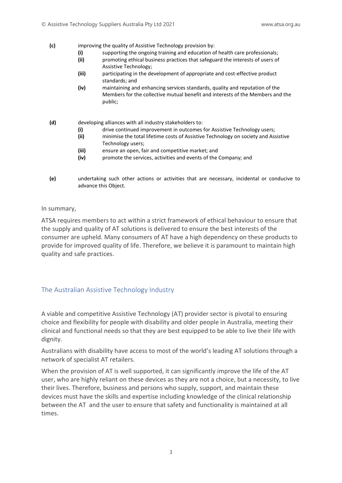- **(c)** improving the quality of Assistive Technology provision by:
	- **(i)** supporting the ongoing training and education of health care professionals;
	- **(ii)** promoting ethical business practices that safeguard the interests of users of Assistive Technology;
	- **(iii)** participating in the development of appropriate and cost-effective product standards; and
	- **(iv)** maintaining and enhancing services standards, quality and reputation of the Members for the collective mutual benefit and interests of the Members and the public;
- **(d)** developing alliances with all industry stakeholders to:
	- **(i)** drive continued improvement in outcomes for Assistive Technology users;
	- **(ii)** minimise the total lifetime costs of Assistive Technology on society and Assistive Technology users;
	- **(iii)** ensure an open, fair and competitive market; and
	- **(iv)** promote the services, activities and events of the Company; and
- **(e)** undertaking such other actions or activities that are necessary, incidental or conducive to advance this Object.

In summary,

ATSA requires members to act within a strict framework of ethical behaviour to ensure that the supply and quality of AT solutions is delivered to ensure the best interests of the consumer are upheld. Many consumers of AT have a high dependency on these products to provide for improved quality of life. Therefore, we believe it is paramount to maintain high quality and safe practices.

# The Australian Assistive Technology Industry

A viable and competitive Assistive Technology (AT) provider sector is pivotal to ensuring choice and flexibility for people with disability and older people in Australia, meeting their clinical and functional needs so that they are best equipped to be able to live their life with dignity.

Australians with disability have access to most of the world's leading AT solutions through a network of specialist AT retailers.

When the provision of AT is well supported, it can significantly improve the life of the AT user, who are highly reliant on these devices as they are not a choice, but a necessity, to live their lives. Therefore, business and persons who supply, support, and maintain these devices must have the skills and expertise including knowledge of the clinical relationship between the AT and the user to ensure that safety and functionality is maintained at all times.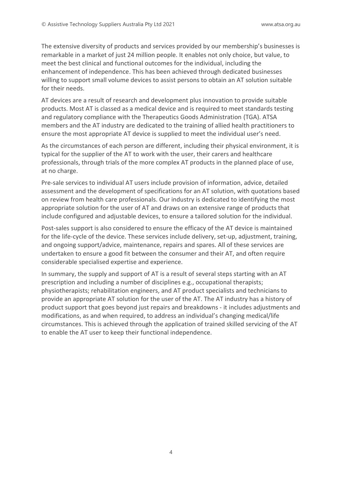The extensive diversity of products and services provided by our membership's businesses is remarkable in a market of just 24 million people. It enables not only choice, but value, to meet the best clinical and functional outcomes for the individual, including the enhancement of independence. This has been achieved through dedicated businesses willing to support small volume devices to assist persons to obtain an AT solution suitable for their needs.

AT devices are a result of research and development plus innovation to provide suitable products. Most AT is classed as a medical device and is required to meet standards testing and regulatory compliance with the Therapeutics Goods Administration (TGA). ATSA members and the AT industry are dedicated to the training of allied health practitioners to ensure the most appropriate AT device is supplied to meet the individual user's need.

As the circumstances of each person are different, including their physical environment, it is typical for the supplier of the AT to work with the user, their carers and healthcare professionals, through trials of the more complex AT products in the planned place of use, at no charge.

Pre-sale services to individual AT users include provision of information, advice, detailed assessment and the development of specifications for an AT solution, with quotations based on review from health care professionals. Our industry is dedicated to identifying the most appropriate solution for the user of AT and draws on an extensive range of products that include configured and adjustable devices, to ensure a tailored solution for the individual.

Post-sales support is also considered to ensure the efficacy of the AT device is maintained for the life-cycle of the device. These services include delivery, set-up, adjustment, training, and ongoing support/advice, maintenance, repairs and spares. All of these services are undertaken to ensure a good fit between the consumer and their AT, and often require considerable specialised expertise and experience.

In summary, the supply and support of AT is a result of several steps starting with an AT prescription and including a number of disciplines e.g., occupational therapists; physiotherapists; rehabilitation engineers, and AT product specialists and technicians to provide an appropriate AT solution for the user of the AT. The AT industry has a history of product support that goes beyond just repairs and breakdowns - it includes adjustments and modifications, as and when required, to address an individual's changing medical/life circumstances. This is achieved through the application of trained skilled servicing of the AT to enable the AT user to keep their functional independence.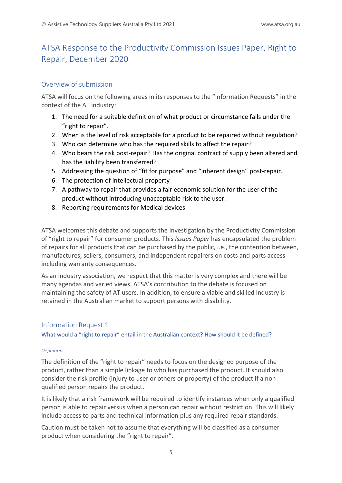# ATSA Response to the Productivity Commission Issues Paper, Right to Repair, December 2020

# Overview of submission

ATSA will focus on the following areas in its responses to the "Information Requests" in the context of the AT industry:

- 1. The need for a suitable definition of what product or circumstance falls under the "right to repair".
- 2. When is the level of risk acceptable for a product to be repaired without regulation?
- 3. Who can determine who has the required skills to affect the repair?
- 4. Who bears the risk post-repair? Has the original contract of supply been altered and has the liability been transferred?
- 5. Addressing the question of "fit for purpose" and "inherent design" post-repair.
- 6. The protection of intellectual property
- 7. A pathway to repair that provides a fair economic solution for the user of the product without introducing unacceptable risk to the user.
- 8. Reporting requirements for Medical devices

ATSA welcomes this debate and supports the investigation by the Productivity Commission of "right to repair" for consumer products. This *Issues Paper* has encapsulated the problem of repairs for all products that can be purchased by the public, i.e., the contention between, manufactures, sellers, consumers, and independent repairers on costs and parts access including warranty consequences.

As an industry association, we respect that this matter is very complex and there will be many agendas and varied views. ATSA's contribution to the debate is focused on maintaining the safety of AT users. In addition, to ensure a viable and skilled industry is retained in the Australian market to support persons with disability.

# Information Request 1

What would a "right to repair" entail in the Australian context? How should it be defined?

## *Definition*

The definition of the "right to repair" needs to focus on the designed purpose of the product, rather than a simple linkage to who has purchased the product. It should also consider the risk profile (injury to user or others or property) of the product if a nonqualified person repairs the product.

It is likely that a risk framework will be required to identify instances when only a qualified person is able to repair versus when a person can repair without restriction. This will likely include access to parts and technical information plus any required repair standards.

Caution must be taken not to assume that everything will be classified as a consumer product when considering the "right to repair".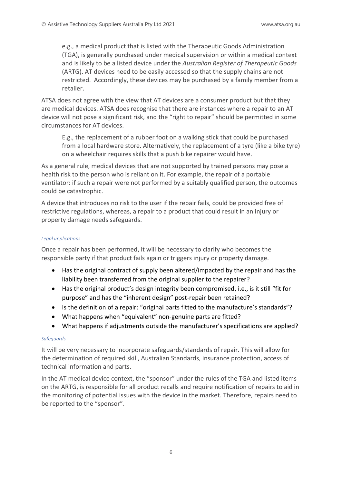e.g., a medical product that is listed with the Therapeutic Goods Administration (TGA), is generally purchased under medical supervision or within a medical context and is likely to be a listed device under the *Australian Register of Therapeutic Goods* (ARTG). AT devices need to be easily accessed so that the supply chains are not restricted. Accordingly, these devices may be purchased by a family member from a retailer.

ATSA does not agree with the view that AT devices are a consumer product but that they are medical devices. ATSA does recognise that there are instances where a repair to an AT device will not pose a significant risk, and the "right to repair" should be permitted in some circumstances for AT devices.

E.g., the replacement of a rubber foot on a walking stick that could be purchased from a local hardware store. Alternatively, the replacement of a tyre (like a bike tyre) on a wheelchair requires skills that a push bike repairer would have.

As a general rule, medical devices that are not supported by trained persons may pose a health risk to the person who is reliant on it. For example, the repair of a portable ventilator: if such a repair were not performed by a suitably qualified person, the outcomes could be catastrophic.

A device that introduces no risk to the user if the repair fails, could be provided free of restrictive regulations, whereas, a repair to a product that could result in an injury or property damage needs safeguards.

#### *Legal implications*

Once a repair has been performed, it will be necessary to clarify who becomes the responsible party if that product fails again or triggers injury or property damage.

- Has the original contract of supply been altered/impacted by the repair and has the liability been transferred from the original supplier to the repairer?
- Has the original product's design integrity been compromised, i.e., is it still "fit for purpose" and has the "inherent design" post-repair been retained?
- Is the definition of a repair: "original parts fitted to the manufacture's standards"?
- What happens when "equivalent" non-genuine parts are fitted?
- What happens if adjustments outside the manufacturer's specifications are applied?

## *Safeguards*

It will be very necessary to incorporate safeguards/standards of repair. This will allow for the determination of required skill, Australian Standards, insurance protection, access of technical information and parts.

In the AT medical device context, the "sponsor" under the rules of the TGA and listed items on the ARTG, is responsible for all product recalls and require notification of repairs to aid in the monitoring of potential issues with the device in the market. Therefore, repairs need to be reported to the "sponsor".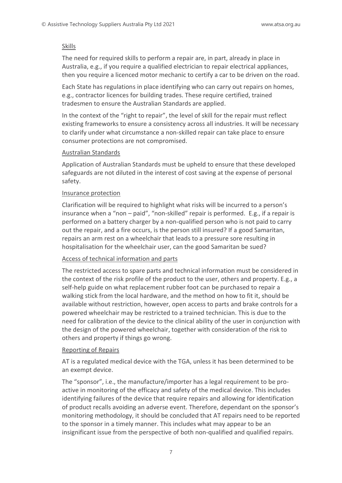#### Skills

The need for required skills to perform a repair are, in part, already in place in Australia, e.g., if you require a qualified electrician to repair electrical appliances, then you require a licenced motor mechanic to certify a car to be driven on the road.

Each State has regulations in place identifying who can carry out repairs on homes, e.g., contractor licences for building trades. These require certified, trained tradesmen to ensure the Australian Standards are applied.

In the context of the "right to repair", the level of skill for the repair must reflect existing frameworks to ensure a consistency across all industries. It will be necessary to clarify under what circumstance a non-skilled repair can take place to ensure consumer protections are not compromised.

#### Australian Standards

Application of Australian Standards must be upheld to ensure that these developed safeguards are not diluted in the interest of cost saving at the expense of personal safety.

#### Insurance protection

Clarification will be required to highlight what risks will be incurred to a person's insurance when a "non – paid", "non-skilled" repair is performed. E.g., if a repair is performed on a battery charger by a non-qualified person who is not paid to carry out the repair, and a fire occurs, is the person still insured? If a good Samaritan, repairs an arm rest on a wheelchair that leads to a pressure sore resulting in hospitalisation for the wheelchair user, can the good Samaritan be sued?

## Access of technical information and parts

The restricted access to spare parts and technical information must be considered in the context of the risk profile of the product to the user, others and property. E.g., a self-help guide on what replacement rubber foot can be purchased to repair a walking stick from the local hardware, and the method on how to fit it, should be available without restriction, however, open access to parts and brake controls for a powered wheelchair may be restricted to a trained technician. This is due to the need for calibration of the device to the clinical ability of the user in conjunction with the design of the powered wheelchair, together with consideration of the risk to others and property if things go wrong.

## Reporting of Repairs

AT is a regulated medical device with the TGA, unless it has been determined to be an exempt device.

The "sponsor", i.e., the manufacture/importer has a legal requirement to be proactive in monitoring of the efficacy and safety of the medical device. This includes identifying failures of the device that require repairs and allowing for identification of product recalls avoiding an adverse event. Therefore, dependant on the sponsor's monitoring methodology, it should be concluded that AT repairs need to be reported to the sponsor in a timely manner. This includes what may appear to be an insignificant issue from the perspective of both non-qualified and qualified repairs.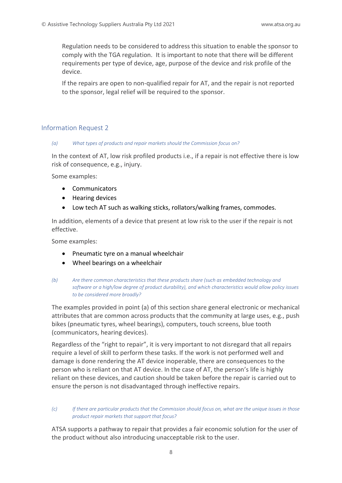Regulation needs to be considered to address this situation to enable the sponsor to comply with the TGA regulation. It is important to note that there will be different requirements per type of device, age, purpose of the device and risk profile of the device.

If the repairs are open to non-qualified repair for AT, and the repair is not reported to the sponsor, legal relief will be required to the sponsor.

## Information Request 2

#### *(a) What types of products and repair markets should the Commission focus on?*

In the context of AT, low risk profiled products i.e., if a repair is not effective there is low risk of consequence, e.g., injury.

Some examples:

- Communicators
- Hearing devices
- Low tech AT such as walking sticks, rollators/walking frames, commodes.

In addition, elements of a device that present at low risk to the user if the repair is not effective.

Some examples:

- Pneumatic tyre on a manual wheelchair
- Wheel bearings on a wheelchair

The examples provided in point (a) of this section share general electronic or mechanical attributes that are common across products that the community at large uses, e.g., push bikes (pneumatic tyres, wheel bearings), computers, touch screens, blue tooth (communicators, hearing devices).

Regardless of the "right to repair", it is very important to not disregard that all repairs require a level of skill to perform these tasks. If the work is not performed well and damage is done rendering the AT device inoperable, there are consequences to the person who is reliant on that AT device. In the case of AT, the person's life is highly reliant on these devices, and caution should be taken before the repair is carried out to ensure the person is not disadvantaged through ineffective repairs.

#### *(c) If there are particular products that the Commission should focus on, what are the unique issues in those product repair markets that support that focus?*

ATSA supports a pathway to repair that provides a fair economic solution for the user of the product without also introducing unacceptable risk to the user.

*<sup>(</sup>b) Are there common characteristics that these products share (such as embedded technology and software or a high/low degree of product durability), and which characteristics would allow policy issues to be considered more broadly?*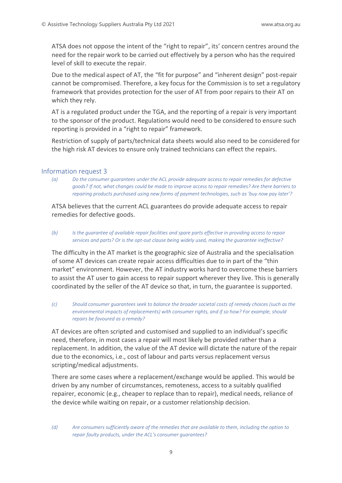ATSA does not oppose the intent of the "right to repair", its' concern centres around the need for the repair work to be carried out effectively by a person who has the required level of skill to execute the repair.

Due to the medical aspect of AT, the "fit for purpose" and "inherent design" post-repair cannot be compromised. Therefore, a key focus for the Commission is to set a regulatory framework that provides protection for the user of AT from poor repairs to their AT on which they rely.

AT is a regulated product under the TGA, and the reporting of a repair is very important to the sponsor of the product. Regulations would need to be considered to ensure such reporting is provided in a "right to repair" framework.

Restriction of supply of parts/technical data sheets would also need to be considered for the high risk AT devices to ensure only trained technicians can effect the repairs.

#### Information request 3

*(a) Do the consumer guarantees under the ACL provide adequate access to repair remedies for defective goods? If not, what changes could be made to improve access to repair remedies? Are there barriers to repairing products purchased using new forms of payment technologies, such as 'buy now pay later'?* 

ATSA believes that the current ACL guarantees do provide adequate access to repair remedies for defective goods.

*(b) Is the guarantee of available repair facilities and spare parts effective in providing access to repair services and parts? Or is the opt-out clause being widely used, making the guarantee ineffective?*

The difficulty in the AT market is the geographic size of Australia and the specialisation of some AT devices can create repair access difficulties due to in part of the "thin market" environment. However, the AT industry works hard to overcome these barriers to assist the AT user to gain access to repair support wherever they live. This is generally coordinated by the seller of the AT device so that, in turn, the guarantee is supported.

*(c) Should consumer guarantees seek to balance the broader societal costs of remedy choices (such as the environmental impacts of replacements) with consumer rights, and if so how? For example, should repairs be favoured as a remedy?* 

AT devices are often scripted and customised and supplied to an individual's specific need, therefore, in most cases a repair will most likely be provided rather than a replacement. In addition, the value of the AT device will dictate the nature of the repair due to the economics, i.e., cost of labour and parts versus replacement versus scripting/medical adjustments.

There are some cases where a replacement/exchange would be applied. This would be driven by any number of circumstances, remoteness, access to a suitably qualified repairer, economic (e.g., cheaper to replace than to repair), medical needs, reliance of the device while waiting on repair, or a customer relationship decision.

*<sup>(</sup>d) Are consumers sufficiently aware of the remedies that are available to them, including the option to repair faulty products, under the ACL's consumer guarantees?*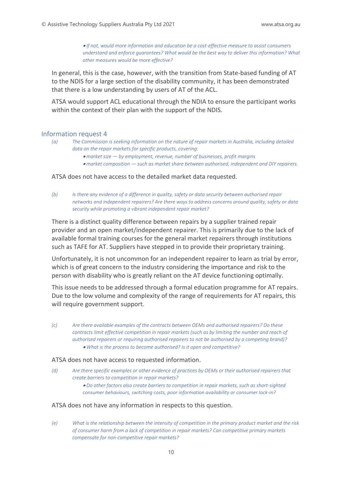• *If not, would more information and education be a cost-effective measure to assist consumers understand and enforce guarantees? What would be the best way to deliver this information? What other measures would be more effective?*

In general, this is the case, however, with the transition from State-based funding of AT to the NDIS for a large section of the disability community, it has been demonstrated that there is a low understanding by users of AT of the ACL.

ATSA would support ACL educational through the NDIA to ensure the participant works within the context of their plan with the support of the NDIS.

#### Information request 4

- *(a) The Commission is seeking information on the nature of repair markets in Australia, including detailed data on the repair markets for specific products, covering:* 
	- *market size — by employment, revenue, number of businesses, profit margins*
	- *market composition — such as market share between authorised, independent and DIY repairers.*

#### ATSA does not have access to the detailed market data requested.

*(b) Is there any evidence of a difference in quality, safety or data security between authorised repair networks and independent repairers? Are there ways to address concerns around quality, safety or data security while promoting a vibrant independent repair market?* 

There is a distinct quality difference between repairs by a supplier trained repair provider and an open market/independent repairer. This is primarily due to the lack of available formal training courses for the general market repairers through institutions such as TAFE for AT. Suppliers have stepped in to provide their proprietary training.

Unfortunately, it is not uncommon for an independent repairer to learn as trial by error, which is of great concern to the industry considering the importance and risk to the person with disability who is greatly reliant on the AT device functioning optimally.

This issue needs to be addressed through a formal education programme for AT repairs. Due to the low volume and complexity of the range of requirements for AT repairs, this will require government support.

*(c) Are there available examples of the contracts between OEMs and authorised repairers? Do these contracts limit effective competition in repair markets (such as by limiting the number and reach of authorised repairers or requiring authorised repairers to not be authorised by a competing brand)?*  • *What is the process to become authorised? Is it open and competitive?* 

#### ATSA does not have access to requested information.

- *(d) Are there specific examples or other evidence of practices by OEMs or their authorised repairers that create barriers to competition in repair markets?* 
	- *Do other factors also create barriers to competition in repair markets, such as short-sighted consumer behaviours, switching costs, poor information availability or consumer lock-in?*

#### ATSA does not have any information in respects to this question.

*(e) What is the relationship between the intensity of competition in the primary product market and the risk of consumer harm from a lack of competition in repair markets? Can competitive primary markets compensate for non-competitive repair markets?*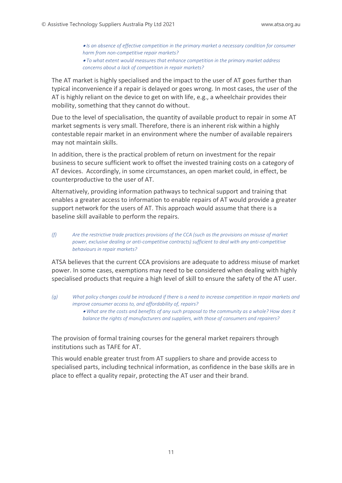• *Is an absence of effective competition in the primary market a necessary condition for consumer harm from non-competitive repair markets?*  • *To what extent would measures that enhance competition in the primary market address concerns about a lack of competition in repair markets?*

The AT market is highly specialised and the impact to the user of AT goes further than typical inconvenience if a repair is delayed or goes wrong. In most cases, the user of the AT is highly reliant on the device to get on with life, e.g., a wheelchair provides their mobility, something that they cannot do without.

Due to the level of specialisation, the quantity of available product to repair in some AT market segments is very small. Therefore, there is an inherent risk within a highly contestable repair market in an environment where the number of available repairers may not maintain skills.

In addition, there is the practical problem of return on investment for the repair business to secure sufficient work to offset the invested training costs on a category of AT devices. Accordingly, in some circumstances, an open market could, in effect, be counterproductive to the user of AT.

Alternatively, providing information pathways to technical support and training that enables a greater access to information to enable repairs of AT would provide a greater support network for the users of AT. This approach would assume that there is a baseline skill available to perform the repairs.

*(f) Are the restrictive trade practices provisions of the CCA (such as the provisions on misuse of market power, exclusive dealing or anti-competitive contracts) sufficient to deal with any anti-competitive behaviours in repair markets?* 

ATSA believes that the current CCA provisions are adequate to address misuse of market power. In some cases, exemptions may need to be considered when dealing with highly specialised products that require a high level of skill to ensure the safety of the AT user.

*(g) What policy changes could be introduced if there is a need to increase competition in repair markets and improve consumer access to, and affordability of, repairs?*  • *What are the costs and benefits of any such proposal to the community as a whole? How does it balance the rights of manufacturers and suppliers, with those of consumers and repairers?*

The provision of formal training courses for the general market repairers through institutions such as TAFE for AT.

This would enable greater trust from AT suppliers to share and provide access to specialised parts, including technical information, as confidence in the base skills are in place to effect a quality repair, protecting the AT user and their brand.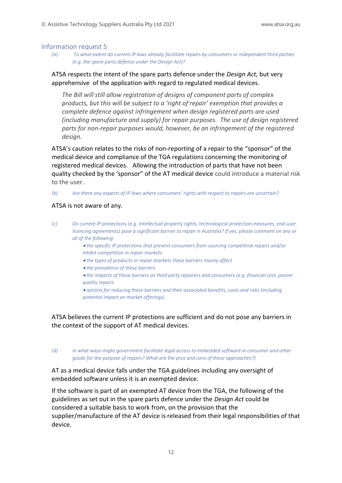#### Information request 5

*(a) To what extent do current IP laws already facilitate repairs by consumers or independent third parties (e.g. the spare parts defence under the Design Act)?* 

# ATSA respects the intent of the spare parts defence under the *Design Act,* but very apprehensive of the application with regard to regulated medical devices.

*The Bill will still allow registration of designs of component parts of complex products, but this will be subject to a 'right of repair' exemption that provides a complete defence against infringement when design registered parts are used (including manufacture and supply) for repair purposes. The use of design registered parts for non-repair purposes would, however, be an infringement of the registered design.*

ATSA's caution relates to the risks of non-reporting of a repair to the "sponsor" of the medical device and compliance of the TGA regulations concerning the monitoring of registered medical devices. Allowing the introduction of parts that have not been quality checked by the 'sponsor" of the AT medical device could introduce a material risk to the user.

*(b) Are there any aspects of IP laws where consumers' rights with respect to repairs are uncertain?* 

## ATSA is not aware of any.

- *(c) Do current IP protections (e.g. intellectual property rights, technological protection measures, end-user licencing agreements) pose a significant barrier to repair in Australia? If yes, please comment on any or all of the following:* 
	- *the specific IP protections that prevent consumers from sourcing competitive repairs and/or inhibit competition in repair markets*
	- *the types of products or repair markets these barriers mainly affect*
	- *the prevalence of these barriers*
	- *the impacts of these barriers on third party repairers and consumers (e.g. financial cost, poorer quality repairs*

• *options for reducing these barriers and their associated benefits, costs and risks (including potential impact on market offerings).* 

ATSA believes the current IP protections are sufficient and do not pose any barriers in the context of the support of AT medical devices.

*(d) In what ways might government facilitate legal access to embedded software in consumer and other goods for the purpose of repairs? What are the pros and cons of these approaches?)*

AT as a medical device falls under the TGA guidelines including any oversight of embedded software unless it is an exempted device.

If the software is part of an exempted AT device from the TGA, the following of the guidelines as set out in the spare parts defence under the *Design Act* could be considered a suitable basis to work from, on the provision that the supplier/manufacture of the AT device is released from their legal responsibilities of that device.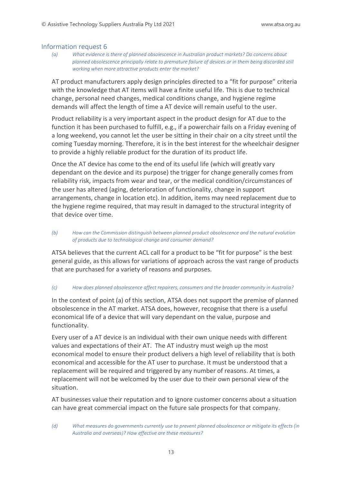#### Information request 6

*(a) What evidence is there of planned obsolescence in Australian product markets? Do concerns about planned obsolescence principally relate to premature failure of devices or in them being discarded still working when more attractive products enter the market?* 

AT product manufacturers apply design principles directed to a "fit for purpose" criteria with the knowledge that AT items will have a finite useful life. This is due to technical change, personal need changes, medical conditions change, and hygiene regime demands will affect the length of time a AT device will remain useful to the user.

Product reliability is a very important aspect in the product design for AT due to the function it has been purchased to fulfill, e.g., if a powerchair fails on a Friday evening of a long weekend, you cannot let the user be sitting in their chair on a city street until the coming Tuesday morning. Therefore, it is in the best interest for the wheelchair designer to provide a highly reliable product for the duration of its product life.

Once the AT device has come to the end of its useful life (which will greatly vary dependant on the device and its purpose) the trigger for change generally comes from reliability risk, impacts from wear and tear, or the medical condition/circumstances of the user has altered (aging, deterioration of functionality, change in support arrangements, change in location etc). In addition, items may need replacement due to the hygiene regime required, that may result in damaged to the structural integrity of that device over time.

#### *(b) How can the Commission distinguish between planned product obsolescence and the natural evolution of products due to technological change and consumer demand?*

ATSA believes that the current ACL call for a product to be "fit for purpose" is the best general guide, as this allows for variations of approach across the vast range of products that are purchased for a variety of reasons and purposes.

## *(c) How does planned obsolescence affect repairers, consumers and the broader community in Australia?*

In the context of point (a) of this section, ATSA does not support the premise of planned obsolescence in the AT market. ATSA does, however, recognise that there is a useful economical life of a device that will vary dependant on the value, purpose and functionality.

Every user of a AT device is an individual with their own unique needs with different values and expectations of their AT. The AT industry must weigh up the most economical model to ensure their product delivers a high level of reliability that is both economical and accessible for the AT user to purchase. It must be understood that a replacement will be required and triggered by any number of reasons. At times, a replacement will not be welcomed by the user due to their own personal view of the situation.

AT businesses value their reputation and to ignore customer concerns about a situation can have great commercial impact on the future sale prospects for that company.

*<sup>(</sup>d) What measures do governments currently use to prevent planned obsolescence or mitigate its effects (in Australia and overseas)? How effective are these measures?*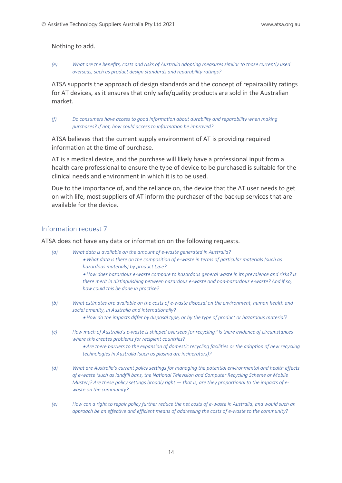#### Nothing to add.

#### *(e) What are the benefits, costs and risks of Australia adopting measures similar to those currently used overseas, such as product design standards and reparability ratings?*

ATSA supports the approach of design standards and the concept of repairability ratings for AT devices, as it ensures that only safe/quality products are sold in the Australian market.

*(f) Do consumers have access to good information about durability and reparability when making purchases? If not, how could access to information be improved?*

ATSA believes that the current supply environment of AT is providing required information at the time of purchase.

AT is a medical device, and the purchase will likely have a professional input from a health care professional to ensure the type of device to be purchased is suitable for the clinical needs and environment in which it is to be used.

Due to the importance of, and the reliance on, the device that the AT user needs to get on with life, most suppliers of AT inform the purchaser of the backup services that are available for the device.

# Information request 7

#### ATSA does not have any data or information on the following requests.

- *(a) What data is available on the amount of e-waste generated in Australia?*  • *What data is there on the composition of e-waste in terms of particular materials (such as hazardous materials) by product type?*  • *How does hazardous e-waste compare to hazardous general waste in its prevalence and risks? Is there merit in distinguishing between hazardous e-waste and non-hazardous e-waste? And if so, how could this be done in practice?*
- *(b) What estimates are available on the costs of e-waste disposal on the environment, human health and social amenity, in Australia and internationally?* 
	- *How do the impacts differ by disposal type, or by the type of product or hazardous material?*
- *(c) How much of Australia's e-waste is shipped overseas for recycling? Is there evidence of circumstances where this creates problems for recipient countries?* 
	- *Are there barriers to the expansion of domestic recycling facilities or the adoption of new recycling technologies in Australia (such as plasma arc incinerators)?*
- *(d) What are Australia's current policy settings for managing the potential environmental and health effects of e-waste (such as landfill bans, the National Television and Computer Recycling Scheme or Mobile Muster*)? Are these policy settings broadly right — that is, are they proportional to the impacts of e*waste on the community?*
- *(e) How can a right to repair policy further reduce the net costs of e-waste in Australia, and would such an approach be an effective and efficient means of addressing the costs of e-waste to the community?*